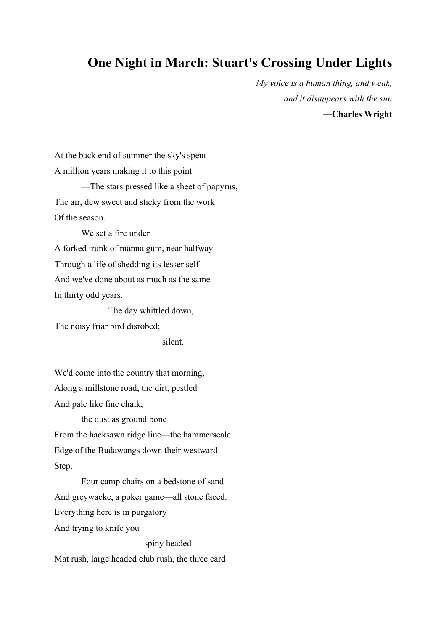## **One Night in March: Stuart's Crossing Under Lights**

*My voice is a human thing, and weak, and it disappears with the sun*  **—Charles Wright** 

At the back end of summer the sky's spent A million years making it to this point —The stars pressed like a sheet of papyrus, The air, dew sweet and sticky from the work Of the season.

We set a fire under A forked trunk of manna gum, near halfway Through a life of shedding its lesser self And we've done about as much as the same In thirty odd years.

The day whittled down, The noisy friar bird disrobed;

silent.

We'd come into the country that morning, Along a millstone road, the dirt, pestled And pale like fine chalk,

the dust as ground bone From the hacksawn ridge line—the hammerscale Edge of the Budawangs down their westward Step.

Four camp chairs on a bedstone of sand And greywacke, a poker game—all stone faced. Everything here is in purgatory And trying to knife you

—spiny headed Mat rush, large headed club rush, the three card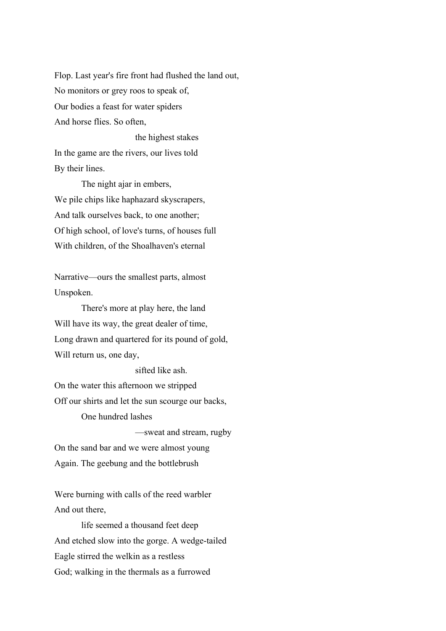Flop. Last year's fire front had flushed the land out, No monitors or grey roos to speak of, Our bodies a feast for water spiders And horse flies. So often,

the highest stakes In the game are the rivers, our lives told By their lines.

The night ajar in embers, We pile chips like haphazard skyscrapers, And talk ourselves back, to one another; Of high school, of love's turns, of houses full With children, of the Shoalhaven's eternal

Narrative—ours the smallest parts, almost Unspoken.

There's more at play here, the land Will have its way, the great dealer of time, Long drawn and quartered for its pound of gold, Will return us, one day,

sifted like ash.

On the water this afternoon we stripped Off our shirts and let the sun scourge our backs, One hundred lashes

—sweat and stream, rugby On the sand bar and we were almost young Again. The geebung and the bottlebrush

Were burning with calls of the reed warbler

And out there,

life seemed a thousand feet deep And etched slow into the gorge. A wedge-tailed Eagle stirred the welkin as a restless God; walking in the thermals as a furrowed